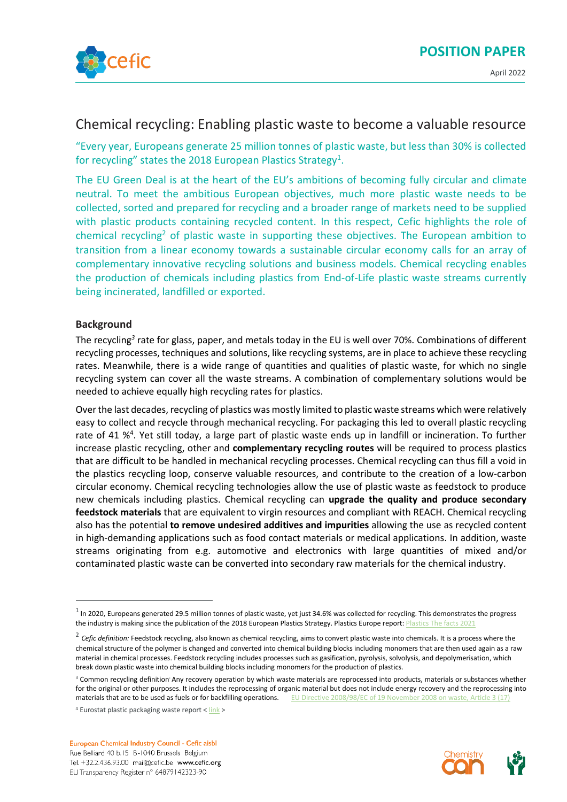

## Chemical recycling: Enabling plastic waste to become a valuable resource

"Every year, Europeans generate 25 million tonnes of plastic waste, but less than 30% is collected for recycling" states the 2018 European Plastics Strategy<sup>1</sup>.

The EU Green Deal is at the heart of the EU's ambitions of becoming fully circular and climate neutral. To meet the ambitious European objectives, much more plastic waste needs to be collected, sorted and prepared for recycling and a broader range of markets need to be supplied with plastic products containing recycled content. In this respect, Cefic highlights the role of chemical recycling<sup>2</sup> of plastic waste in supporting these objectives. The European ambition to transition from a linear economy towards a sustainable circular economy calls for an array of complementary innovative recycling solutions and business models. Chemical recycling enables the production of chemicals including plastics from End-of-Life plastic waste streams currently being incinerated, landfilled or exported.

## **Background**

The recycling*<sup>3</sup>* rate for glass, paper, and metals today in the EU is well over 70%. Combinations of different recycling processes, techniques and solutions, like recycling systems, are in place to achieve these recycling rates. Meanwhile, there is a wide range of quantities and qualities of plastic waste, for which no single recycling system can cover all the waste streams. A combination of complementary solutions would be needed to achieve equally high recycling rates for plastics.

Over the last decades, recycling of plastics was mostly limited to plastic waste streams which were relatively easy to collect and recycle through mechanical recycling. For packaging this led to overall plastic recycling rate of 41 %<sup>4</sup>. Yet still today, a large part of plastic waste ends up in landfill or incineration. To further increase plastic recycling, other and **complementary recycling routes** will be required to process plastics that are difficult to be handled in mechanical recycling processes. Chemical recycling can thus fill a void in the plastics recycling loop, conserve valuable resources, and contribute to the creation of a low-carbon circular economy. Chemical recycling technologies allow the use of plastic waste as feedstock to produce new chemicals including plastics. Chemical recycling can **upgrade the quality and produce secondary feedstock materials** that are equivalent to virgin resources and compliant with REACH. Chemical recycling also has the potential **to remove undesired additives and impurities** allowing the use as recycled content in high-demanding applications such as food contact materials or medical applications. In addition, waste streams originating from e.g. automotive and electronics with large quantities of mixed and/or contaminated plastic waste can be converted into secondary raw materials for the chemical industry.



 $^1$  In 2020, Europeans generated 29.5 million tonnes of plastic waste, yet just 34.6% was collected for recycling. This demonstrates the progress the industry is making since the publication of th[e 2018 European Plastics Strategy.](https://ec.europa.eu/info/research-and-innovation/research-area/environment/circular-economy/plastics-circular-economy_en) Plastics Europ[e report: Plastics The facts 2021](https://plasticseurope.org/knowledge-hub/plastics-the-facts-2021/)

<sup>&</sup>lt;sup>2</sup> Cefic definition: Feedstock recycling, also known as chemical recycling, aims to convert plastic waste into chemicals. It is a process where the chemical structure of the polymer is changed and converted into chemical building blocks including monomers that are then used again as a raw material in chemical processes. Feedstock recycling includes processes such as gasification, pyrolysis, solvolysis, and depolymerisation, which break down plastic waste into chemical building blocks including monomers for the production of plastics.

<sup>&</sup>lt;sup>3</sup> Common recycling definition<sup>:</sup> Any recovery operation by which waste materials are reprocessed into products, materials or substances whether for the original or other purposes. It includes the reprocessing of organic material but does not include energy recovery and the reprocessing into materials that are to be used as fuels or for backfilling operations. EU Directive 2008/98/EC of 19 November 2008 on waste, Article 3 (17)

<sup>&</sup>lt;sup>4</sup> Eurostat plastic packaging waste report [< link](https://ec.europa.eu/eurostat/web/products-eurostat-news/-/ddn-20211027-2) >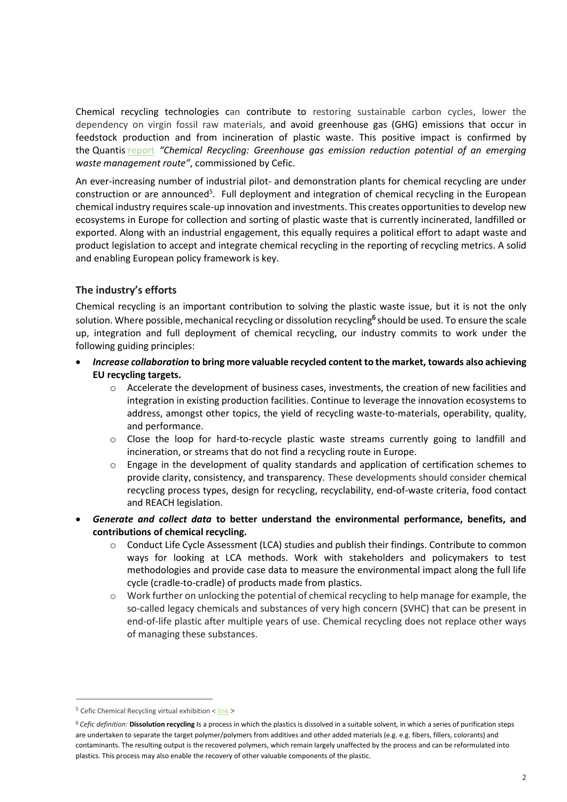Chemical recycling technologies can contribute to restoring sustainable carbon cycles, lower the dependency on virgin fossil raw materials, and avoid greenhouse gas (GHG) emissions that occur in feedstock production and from incineration of plastic waste. This positive impact is confirmed by the Quantis [report](https://cefic.org/media-corner/newsroom/new-study-confirms-role-for-chemical-recycling-in-reducing-greenhouse-gas-emissions/) *"Chemical Recycling: Greenhouse gas emission reduction potential of an emerging waste management route"*, commissioned by Cefic.

An ever-increasing number of industrial pilot- and demonstration plants for chemical recycling are under construction or are announced<sup>5</sup>. Full deployment and integration of chemical recycling in the European chemical industry requires scale-up innovation and investments. This creates opportunities to develop new ecosystems in Europe for collection and sorting of plastic waste that is currently incinerated, landfilled or exported. Along with an industrial engagement, this equally requires a political effort to adapt waste and product legislation to accept and integrate chemical recycling in the reporting of recycling metrics. A solid and enabling European policy framework is key.

## **The industry's efforts**

Chemical recycling is an important contribution to solving the plastic waste issue, but it is not the only solution. Where possible, mechanical recycling or dissolution recycling**<sup>6</sup>** should be used. To ensure the scale up, integration and full deployment of chemical recycling, our industry commits to work under the following guiding principles:

- *Increase collaboration* **to bring more valuable recycled content to the market, towards also achieving EU recycling targets.** 
	- o Accelerate the development of business cases, investments, the creation of new facilities and integration in existing production facilities. Continue to leverage the innovation ecosystems to address, amongst other topics, the yield of recycling waste-to-materials, operability, quality, and performance.
	- $\circ$  Close the loop for hard-to-recycle plastic waste streams currently going to landfill and incineration, or streams that do not find a recycling route in Europe.
	- $\circ$  Engage in the development of quality standards and application of certification schemes to provide clarity, consistency, and transparency. These developments should consider chemical recycling process types, design for recycling, recyclability, end-of-waste criteria, food contact and REACH legislation.
- *Generate and collect data* **to better understand the environmental performance, benefits, and contributions of chemical recycling.**
	- o Conduct Life Cycle Assessment (LCA) studies and publish their findings. Contribute to common ways for looking at LCA methods. Work with stakeholders and policymakers to test methodologies and provide case data to measure the environmental impact along the full life cycle (cradle-to-cradle) of products made from plastics.
	- o Work further on unlocking the potential of chemical recycling to help manage for example, the so-called legacy chemicals and substances of very high concern (SVHC) that can be present in end-of-life plastic after multiple years of use. Chemical recycling does not replace other ways of managing these substances.

 $5$  Cefic Chemical Recycling virtual exhibition <  $\frac{link}{ }$ 

<sup>&</sup>lt;sup>6</sup> Cefic definition: **Dissolution recycling** Is a process in which the plastics is dissolved in a suitable solvent, in which a series of purification steps are undertaken to separate the target polymer/polymers from additives and other added materials (e.g. e.g. fibers, fillers, colorants) and contaminants. The resulting output is the recovered polymers, which remain largely unaffected by the process and can be reformulated into plastics. This process may also enable the recovery of other valuable components of the plastic.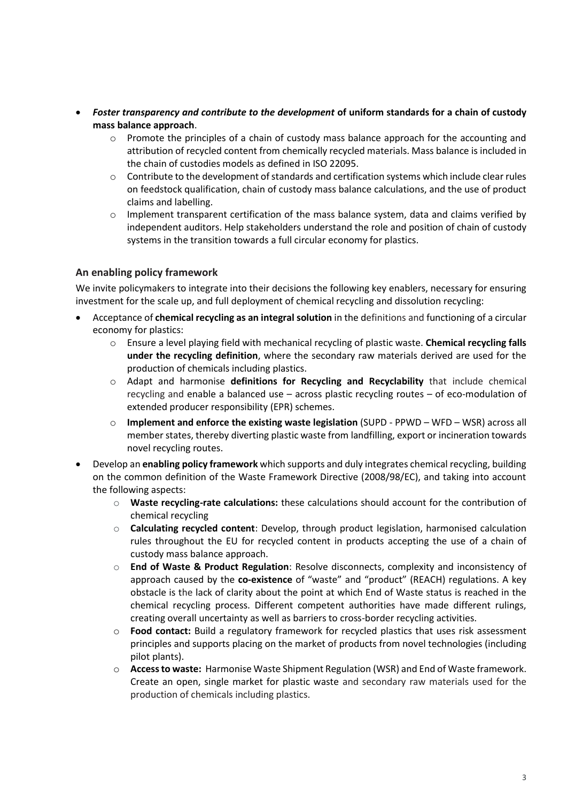- *Foster transparency and contribute to the development* **of uniform standards for a chain of custody mass balance approach**.
	- o Promote the principles of a chain of custody mass balance approach for the accounting and attribution of recycled content from chemically recycled materials. Mass balance is included in the chain of custodies models as defined in ISO 22095.
	- $\circ$  Contribute to the development of standards and certification systems which include clear rules on feedstock qualification, chain of custody mass balance calculations, and the use of product claims and labelling.
	- $\circ$  Implement transparent certification of the mass balance system, data and claims verified by independent auditors. Help stakeholders understand the role and position of chain of custody systems in the transition towards a full circular economy for plastics.

## **An enabling policy framework**

We invite policymakers to integrate into their decisions the following key enablers, necessary for ensuring investment for the scale up, and full deployment of chemical recycling and dissolution recycling:

- Acceptance of **chemical recycling as an integral solution** in the definitions and functioning of a circular economy for plastics:
	- o Ensure a level playing field with mechanical recycling of plastic waste. **Chemical recycling falls under the recycling definition**, where the secondary raw materials derived are used for the production of chemicals including plastics.
	- o Adapt and harmonise **definitions for Recycling and Recyclability** that include chemical recycling and enable a balanced use – across plastic recycling routes – of eco-modulation of extended producer responsibility (EPR) schemes.
	- o **Implement and enforce the existing waste legislation** (SUPD PPWD WFD WSR) across all member states, thereby diverting plastic waste from landfilling, export or incineration towards novel recycling routes.
- Develop an **enabling policy framework** which supports and duly integrates chemical recycling, building on the common definition of the Waste Framework Directive (2008/98/EC), and taking into account the following aspects:
	- o **Waste recycling-rate calculations:** these calculations should account for the contribution of chemical recycling
	- o **Calculating recycled content**: Develop, through product legislation, harmonised calculation rules throughout the EU for recycled content in products accepting the use of a chain of custody mass balance approach.
	- o **End of Waste & Product Regulation**: Resolve disconnects, complexity and inconsistency of approach caused by the **co-existence** of "waste" and "product" (REACH) regulations. A key obstacle is the lack of clarity about the point at which End of Waste status is reached in the chemical recycling process. Different competent authorities have made different rulings, creating overall uncertainty as well as barriers to cross-border recycling activities.
	- o **Food contact:** Build a regulatory framework for recycled plastics that uses risk assessment principles and supports placing on the market of products from novel technologies (including pilot plants).
	- o **Access to waste:** Harmonise Waste Shipment Regulation (WSR) and End of Waste framework. Create an open, single market for plastic waste and secondary raw materials used for the production of chemicals including plastics.